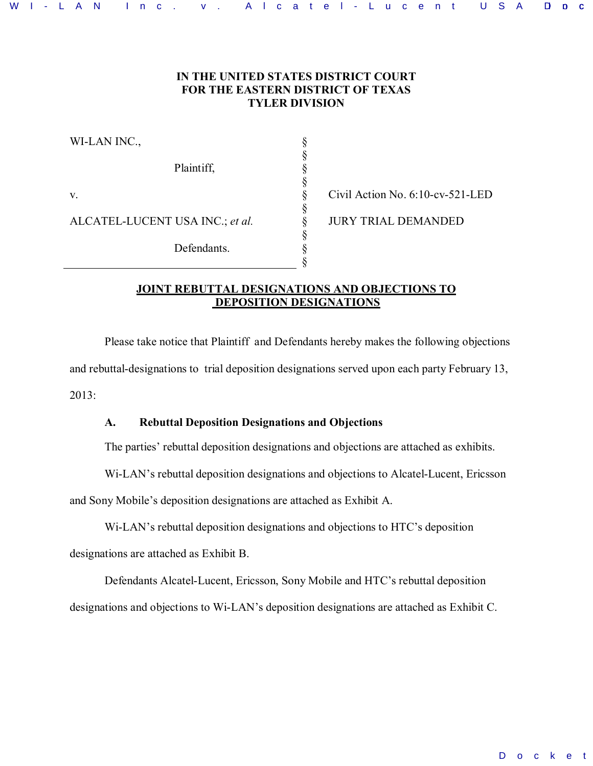### **IN THE UNITED STATES DISTRICT COURT FOR THE EASTERN DISTRICT OF TEXAS TYLER DIVISION**

§ § § § § § § § § §

| WI-LAN INC.,                    |
|---------------------------------|
| Plaintiff.                      |
| $V_{\cdot}$                     |
| ALCATEL-LUCENT USA INC.; et al. |
| Defendants.                     |

Civil Action No. 6:10-cv-521-LED JURY TRIAL DEMANDED

### **JOINT REBUTTAL DESIGNATIONS AND OBJECTIONS TO DEPOSITION DESIGNATIONS**

Please take notice that Plaintiff and Defendants hereby makes the following objections and rebuttal-designations to trial deposition designations served upon each party February 13, 2013:

# **A. Rebuttal Deposition Designations and Objections**

The parties' rebuttal deposition designations and objections are attached as exhibits.

Wi-LAN's rebuttal deposition designations and objections to Alcatel-Lucent, Ericsson

and Sony Mobile's deposition designations are attached as Exhibit A.

Wi-LAN's rebuttal deposition designations and objections to HTC's deposition designations are attached as Exhibit B.

Defendants Alcatel-Lucent, Ericsson, Sony Mobile and HTC's rebuttal deposition designations and objections to Wi-LAN's deposition designations are attached as Exhibit C.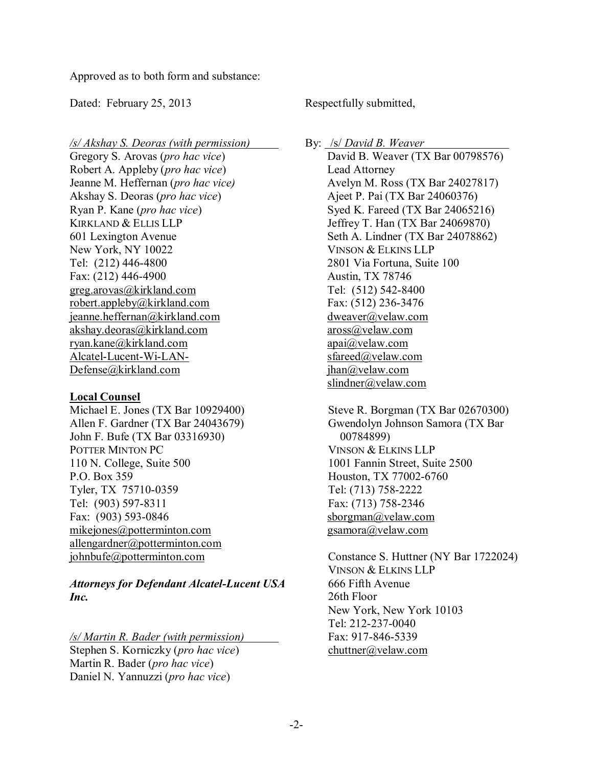Approved as to both form and substance:

Dated: February 25, 2013

*/s/ Akshay S. Deoras (with permission)* 

Gregory S. Arovas (*pro hac vice*) Robert A. Appleby (*pro hac vice*) Jeanne M. Heffernan (*pro hac vice)*  Akshay S. Deoras (*pro hac vice*) Ryan P. Kane (*pro hac vice*) KIRKLAND & ELLIS LLP 601 Lexington Avenue New York, NY 10022 Tel: (212) 446-4800 Fax: (212) 446-4900 greg.arovas@kirkland.com robert.appleby@kirkland.com jeanne.heffernan@kirkland.com akshay.deoras@kirkland.com ryan.kane@kirkland.com Alcatel-Lucent-Wi-LAN-Defense@kirkland.com

# **Local Counsel**

Michael E. Jones (TX Bar 10929400) Allen F. Gardner (TX Bar 24043679) John F. Bufe (TX Bar 03316930) POTTER MINTON PC 110 N. College, Suite 500 P.O. Box 359 Tyler, TX 75710-0359 Tel: (903) 597-8311 Fax: (903) 593-0846 mikejones@potterminton.com allengardner@potterminton.com johnbufe@potterminton.com

*Attorneys for Defendant Alcatel-Lucent USA Inc.* 

*/s/ Martin R. Bader (with permission)*  Stephen S. Korniczky (*pro hac vice*) Martin R. Bader (*pro hac vice*) Daniel N. Yannuzzi (*pro hac vice*)

Respectfully submitted,

By: /s/ *David B. Weaver* 

David B. Weaver (TX Bar 00798576) Lead Attorney Avelyn M. Ross (TX Bar 24027817) Ajeet P. Pai (TX Bar 24060376) Syed K. Fareed (TX Bar 24065216) Jeffrey T. Han (TX Bar 24069870) Seth A. Lindner (TX Bar 24078862) VINSON & ELKINS LLP 2801 Via Fortuna, Suite 100 Austin, TX 78746 Tel: (512) 542-8400 Fax: (512) 236-3476 dweaver@velaw.com aross@velaw.com apai@velaw.com sfareed@velaw.com jhan@velaw.com slindner@velaw.com

Steve R. Borgman (TX Bar 02670300) Gwendolyn Johnson Samora (TX Bar 00784899) VINSON & ELKINS LLP 1001 Fannin Street, Suite 2500 Houston, TX 77002-6760 Tel: (713) 758-2222 Fax: (713) 758-2346 sborgman@velaw.com gsamora@velaw.com

Constance S. Huttner (NY Bar 1722024) VINSON & ELKINS LLP 666 Fifth Avenue 26th Floor New York, New York 10103 Tel: 212-237-0040 Fax: 917-846-5339 chuttner@velaw.com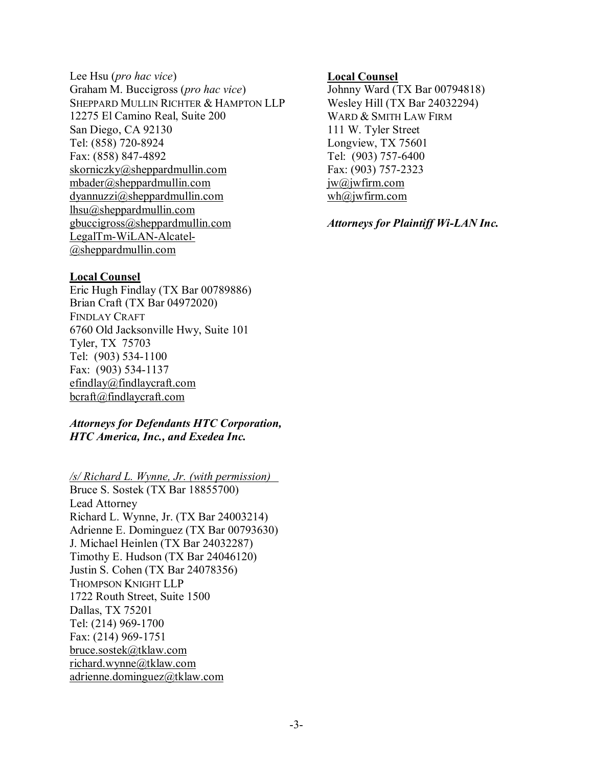Lee Hsu (*pro hac vice*) Graham M. Buccigross (*pro hac vice*) SHEPPARD MULLIN RICHTER & HAMPTON LLP 12275 El Camino Real, Suite 200 San Diego, CA 92130 Tel: (858) 720-8924 Fax: (858) 847-4892 skorniczky@sheppardmullin.com mbader@sheppardmullin.com dyannuzzi@sheppardmullin.com lhsu@sheppardmullin.com gbuccigross@sheppardmullin.com LegalTm-WiLAN-Alcatel- @sheppardmullin.com

#### **Local Counsel**

Eric Hugh Findlay (TX Bar 00789886) Brian Craft (TX Bar 04972020) FINDLAY CRAFT 6760 Old Jacksonville Hwy, Suite 101 Tyler, TX 75703 Tel: (903) 534-1100 Fax: (903) 534-1137 efindlay@findlaycraft.com bcraft@findlaycraft.com

#### *Attorneys for Defendants HTC Corporation, HTC America, Inc., and Exedea Inc.*

*/s/ Richard L. Wynne, Jr. (with permission)* 

Bruce S. Sostek (TX Bar 18855700) Lead Attorney Richard L. Wynne, Jr. (TX Bar 24003214) Adrienne E. Dominguez (TX Bar 00793630) J. Michael Heinlen (TX Bar 24032287) Timothy E. Hudson (TX Bar 24046120) Justin S. Cohen (TX Bar 24078356) THOMPSON KNIGHT LLP 1722 Routh Street, Suite 1500 Dallas, TX 75201 Tel: (214) 969-1700 Fax: (214) 969-1751 bruce.sostek@tklaw.com richard.wynne@tklaw.com adrienne.dominguez@tklaw.com

#### **Local Counsel**

Johnny Ward (TX Bar 00794818) Wesley Hill (TX Bar 24032294) WARD & SMITH LAW FIRM 111 W. Tyler Street Longview, TX 75601 Tel: (903) 757-6400 Fax: (903) 757-2323 jw@jwfirm.com wh@jwfirm.com

*Attorneys for Plaintiff Wi-LAN Inc.*